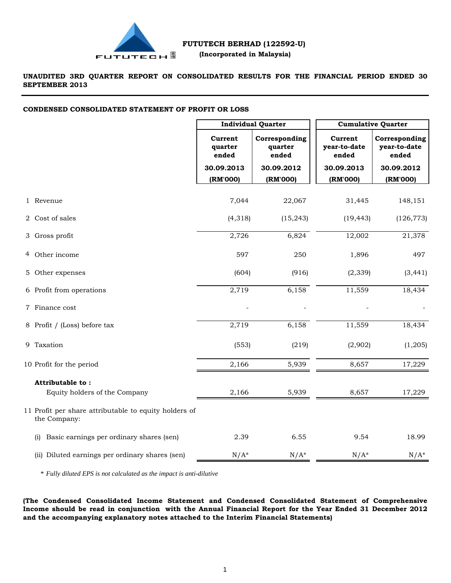

**UNAUDITED 3RD QUARTER REPORT ON CONSOLIDATED RESULTS FOR THE FINANCIAL PERIOD ENDED 30 SEPTEMBER 2013**

# **CONDENSED CONSOLIDATED STATEMENT OF PROFIT OR LOSS**

|                                                                       | <b>Individual Quarter</b>   |                                   | <b>Cumulative Quarter</b>        |                                        |
|-----------------------------------------------------------------------|-----------------------------|-----------------------------------|----------------------------------|----------------------------------------|
|                                                                       | Current<br>quarter<br>ended | Corresponding<br>quarter<br>ended | Current<br>year-to-date<br>ended | Corresponding<br>year-to-date<br>ended |
|                                                                       | 30.09.2013                  | 30.09.2012                        | 30.09.2013                       | 30.09.2012                             |
|                                                                       | (RM'000)                    | (RM'000)                          | (RM'000)                         | (RM'000)                               |
| 1 Revenue                                                             | 7,044                       | 22,067                            | 31,445                           | 148,151                                |
| 2 Cost of sales                                                       | (4, 318)                    | (15, 243)                         | (19, 443)                        | (126, 773)                             |
| 3 Gross profit                                                        | 2,726                       | 6,824                             | 12,002                           | 21,378                                 |
| 4 Other income                                                        | 597                         | 250                               | 1,896                            | 497                                    |
| 5 Other expenses                                                      | (604)                       | (916)                             | (2, 339)                         | (3, 441)                               |
| 6 Profit from operations                                              | 2,719                       | 6,158                             | 11,559                           | 18,434                                 |
| 7 Finance cost                                                        |                             |                                   |                                  |                                        |
| 8 Profit / (Loss) before tax                                          | 2,719                       | 6,158                             | 11,559                           | 18,434                                 |
| 9 Taxation                                                            | (553)                       | (219)                             | (2,902)                          | (1,205)                                |
| 10 Profit for the period                                              | 2,166                       | 5,939                             | 8,657                            | 17,229                                 |
| Attributable to:                                                      |                             |                                   |                                  |                                        |
| Equity holders of the Company                                         | 2,166                       | 5,939                             | 8,657                            | 17,229                                 |
| 11 Profit per share attributable to equity holders of<br>the Company: |                             |                                   |                                  |                                        |
| Basic earnings per ordinary shares (sen)<br>(i)                       | 2.39                        | 6.55                              | 9.54                             | 18.99                                  |
| (ii) Diluted earnings per ordinary shares (sen)                       | $N/A^*$                     | $N/A^*$                           | $N/A^*$                          | $N/A^*$                                |

\* *Fully diluted EPS is not calculated as the impact is anti-dilutive*

**(The Condensed Consolidated Income Statement and Condensed Consolidated Statement of Comprehensive** Income should be read in conjunction with the Annual Financial Report for the Year Ended 31 December 2012 **and the accompanying explanatory notes attached to the Interim Financial Statements)**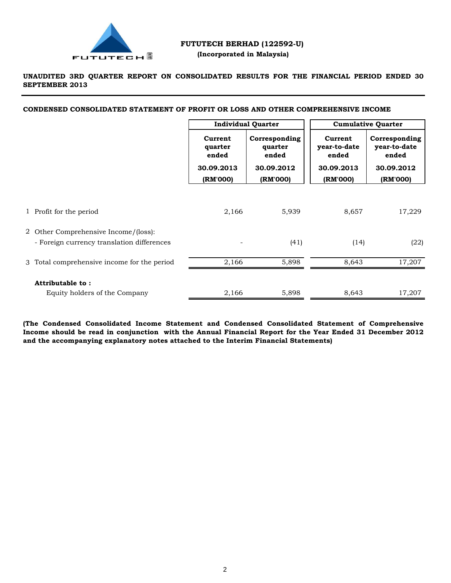

# **UNAUDITED 3RD QUARTER REPORT ON CONSOLIDATED RESULTS FOR THE FINANCIAL PERIOD ENDED 30 SEPTEMBER 2013**

**CONDENSED CONSOLIDATED STATEMENT OF PROFIT OR LOSS AND OTHER COMPREHENSIVE INCOME**

|                                                                                    | <b>Individual Quarter</b>   |                                   | <b>Cumulative Quarter</b>        |                                        |
|------------------------------------------------------------------------------------|-----------------------------|-----------------------------------|----------------------------------|----------------------------------------|
|                                                                                    | Current<br>quarter<br>ended | Corresponding<br>quarter<br>ended | Current<br>year-to-date<br>ended | Corresponding<br>year-to-date<br>ended |
|                                                                                    | 30.09.2013<br>(RM'000)      | 30.09.2012<br>(RM'000)            | 30.09.2013<br>(RM'000)           | 30.09.2012<br>(RM'000)                 |
| 1 Profit for the period                                                            | 2,166                       | 5,939                             | 8,657                            | 17,229                                 |
| 2 Other Comprehensive Income/(loss):<br>- Foreign currency translation differences |                             | (41)                              | (14)                             | (22)                                   |
| 3 Total comprehensive income for the period                                        | 2,166                       | 5,898                             | 8,643                            | 17,207                                 |
| Attributable to:<br>Equity holders of the Company                                  | 2,166                       | 5,898                             | 8,643                            | 17,207                                 |

**(The Condensed Consolidated Income Statement and Condensed Consolidated Statement of Comprehensive** Income should be read in conjunction with the Annual Financial Report for the Year Ended 31 December 2012 **and the accompanying explanatory notes attached to the Interim Financial Statements)**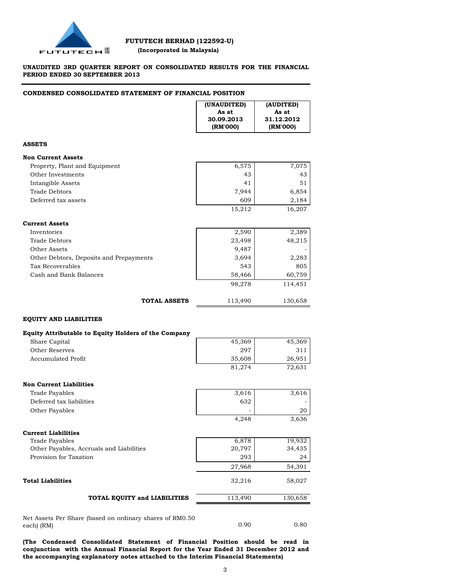

# **UNAUDITED 3RD QUARTER REPORT ON CONSOLIDATED RESULTS FOR THE FINANCIAL PERIOD ENDED 30 SEPTEMBER 2013**

# **CONDENSED CONSOLIDATED STATEMENT OF FINANCIAL POSITION**

|                                                      | (UNAUDITED)<br>As at<br>30.09.2013<br>(RM'000) | (AUDITED)<br>As at<br>31.12.2012<br>(RM'000) |
|------------------------------------------------------|------------------------------------------------|----------------------------------------------|
| <b>ASSETS</b>                                        |                                                |                                              |
| <b>Non Current Assets</b>                            |                                                |                                              |
| Property, Plant and Equipment                        | 6,575                                          | 7,075                                        |
| Other Investments                                    | 43                                             | 43                                           |
| Intangible Assets                                    | 41                                             | 51                                           |
| <b>Trade Debtors</b>                                 | 7,944                                          | 6,854                                        |
| Deferred tax assets                                  | 609                                            | 2,184                                        |
|                                                      | 15,212                                         | 16,207                                       |
| <b>Current Assets</b>                                |                                                |                                              |
| Inventories                                          | 2,590                                          | 2,389                                        |
| <b>Trade Debtors</b>                                 | 23,498                                         | 48,215                                       |
| Other Assets                                         | 9,487                                          |                                              |
| Other Debtors, Deposits and Prepayments              | 3,694                                          | 2,283                                        |
| Tax Recoverables                                     | 543                                            | 805                                          |
| Cash and Bank Balances                               | 58,466                                         | 60,759                                       |
|                                                      | 98,278                                         | 114,451                                      |
| <b>TOTAL ASSETS</b>                                  | 113,490                                        | 130,658                                      |
| <b>EQUITY AND LIABILITIES</b>                        |                                                |                                              |
| Equity Attributable to Equity Holders of the Company |                                                |                                              |
| Share Capital                                        | 45,369                                         | 45,369                                       |
| Other Reserves                                       | 297                                            | 311                                          |
| <b>Accumulated Profit</b>                            | 35,608                                         | 26,951                                       |
|                                                      | 81,274                                         | 72,631                                       |
| <b>Non Current Liabilities</b>                       |                                                |                                              |
| <b>Trade Payables</b>                                |                                                |                                              |
| Deferred tax liabilities                             | 3,616<br>632                                   | 3,616                                        |
|                                                      |                                                |                                              |
| Other Payables                                       | 4,248                                          | 20<br>3,636                                  |
|                                                      |                                                |                                              |
| <b>Current Liabilities</b>                           |                                                |                                              |
| <b>Trade Payables</b>                                | 6,878                                          | 19,932                                       |
| Other Payables, Accruals and Liabilities             | 20,797                                         | 34,435                                       |
| Provision for Taxation                               | 293                                            | 24                                           |
|                                                      | 27,968                                         | 54,391                                       |
| <b>Total Liabilities</b>                             | 32,216                                         | 58,027                                       |
| TOTAL EQUITY and LIABILITIES                         | 113,490                                        | 130,658                                      |

Net Assets Per Share (based on ordinary shares of RM0.50 each) (RM)

**(The Condensed Consolidated Statement of Financial Position should be read in conjunction with the Annual Financial Report for the Year Ended 31 December 2012 and the accompanying explanatory notes attached to the Interim Financial Statements)**

0.90 0.80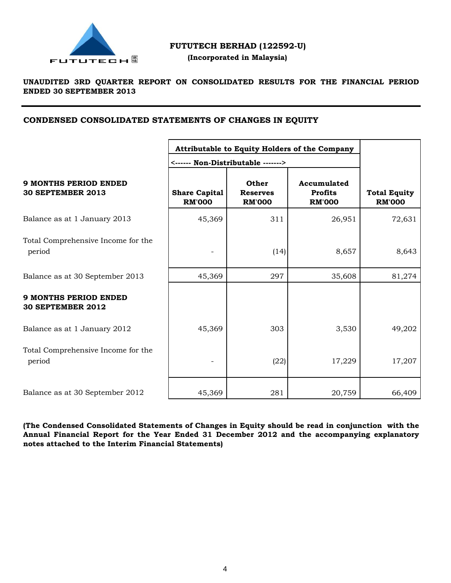

# **FUTUTECH BERHAD (122592-U)**

 **(Incorporated in Malaysia)**

# **UNAUDITED 3RD QUARTER REPORT ON CONSOLIDATED RESULTS FOR THE FINANCIAL PERIOD ENDED 30 SEPTEMBER 2013**

# **CONDENSED CONSOLIDATED STATEMENTS OF CHANGES IN EQUITY**

|                                                          | Attributable to Equity Holders of the Company<br><------ Non-Distributable -------> |                                           |                                                |                                      |
|----------------------------------------------------------|-------------------------------------------------------------------------------------|-------------------------------------------|------------------------------------------------|--------------------------------------|
| <b>9 MONTHS PERIOD ENDED</b><br><b>30 SEPTEMBER 2013</b> | <b>Share Capital</b><br><b>RM'000</b>                                               | Other<br><b>Reserves</b><br><b>RM'000</b> | Accumulated<br><b>Profits</b><br><b>RM'000</b> | <b>Total Equity</b><br><b>RM'000</b> |
| Balance as at 1 January 2013                             | 45,369                                                                              | 311                                       | 26,951                                         | 72,631                               |
| Total Comprehensive Income for the<br>period             |                                                                                     | (14)                                      | 8,657                                          | 8,643                                |
| Balance as at 30 September 2013                          | 45,369                                                                              | 297                                       | 35,608                                         | 81,274                               |
| <b>9 MONTHS PERIOD ENDED</b><br><b>30 SEPTEMBER 2012</b> |                                                                                     |                                           |                                                |                                      |
| Balance as at 1 January 2012                             | 45,369                                                                              | 303                                       | 3,530                                          | 49,202                               |
| Total Comprehensive Income for the<br>period             |                                                                                     | (22)                                      | 17,229                                         | 17,207                               |
| Balance as at 30 September 2012                          | 45,369                                                                              | 281                                       | 20,759                                         | 66,409                               |

**(The Condensed Consolidated Statements of Changes in Equity should be read in conjunction with the Annual Financial Report for the Year Ended 31 December 2012 and the accompanying explanatory notes attached to the Interim Financial Statements)**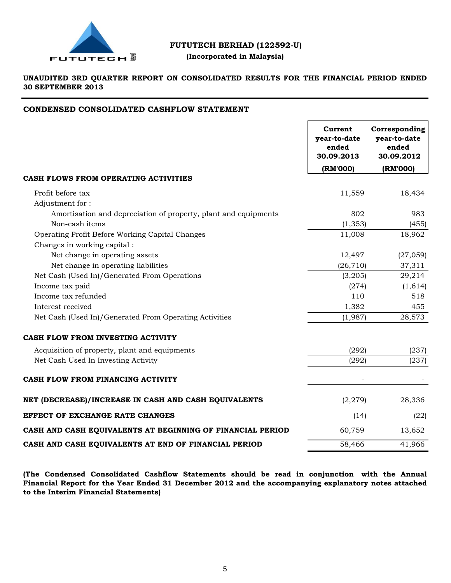

# **FUTUTECH BERHAD (122592-U)**

# **(Incorporated in Malaysia)**

# **UNAUDITED 3RD QUARTER REPORT ON CONSOLIDATED RESULTS FOR THE FINANCIAL PERIOD ENDED 30 SEPTEMBER 2013**

# **CONDENSED CONSOLIDATED CASHFLOW STATEMENT**

|                                                                 | Current<br>year-to-date<br>ended<br>30.09.2013 | Corresponding<br>year-to-date<br>ended<br>30.09.2012 |
|-----------------------------------------------------------------|------------------------------------------------|------------------------------------------------------|
|                                                                 | (RM'000)                                       | (RM'000)                                             |
| CASH FLOWS FROM OPERATING ACTIVITIES                            |                                                |                                                      |
| Profit before tax                                               | 11,559                                         | 18,434                                               |
| Adjustment for:                                                 |                                                |                                                      |
| Amortisation and depreciation of property, plant and equipments | 802                                            | 983                                                  |
| Non-cash items                                                  | (1, 353)                                       | (455)                                                |
| Operating Profit Before Working Capital Changes                 | 11,008                                         | 18,962                                               |
| Changes in working capital:                                     |                                                |                                                      |
| Net change in operating assets                                  | 12,497                                         | (27, 059)                                            |
| Net change in operating liabilities                             | (26, 710)                                      | 37,311                                               |
| Net Cash (Used In)/Generated From Operations                    | (3,205)                                        | 29,214                                               |
| Income tax paid                                                 | (274)                                          | (1,614)                                              |
| Income tax refunded                                             | 110                                            | 518                                                  |
| Interest received                                               | 1,382                                          | 455                                                  |
| Net Cash (Used In)/Generated From Operating Activities          | (1,987)                                        | 28,573                                               |
| CASH FLOW FROM INVESTING ACTIVITY                               |                                                |                                                      |
| Acquisition of property, plant and equipments                   | (292)                                          | (237)                                                |
| Net Cash Used In Investing Activity                             | (292)                                          | (237)                                                |
| CASH FLOW FROM FINANCING ACTIVITY                               |                                                |                                                      |
| NET (DECREASE)/INCREASE IN CASH AND CASH EQUIVALENTS            | (2, 279)                                       | 28,336                                               |
| <b>EFFECT OF EXCHANGE RATE CHANGES</b>                          | (14)                                           | (22)                                                 |
| CASH AND CASH EQUIVALENTS AT BEGINNING OF FINANCIAL PERIOD      | 60,759                                         | 13,652                                               |
| CASH AND CASH EQUIVALENTS AT END OF FINANCIAL PERIOD            | 58,466                                         | 41,966                                               |

**(The Condensed Consolidated Cashflow Statements should be read in conjunction with the Annual Financial Report for the Year Ended 31 December 2012 and the accompanying explanatory notes attached to the Interim Financial Statements)**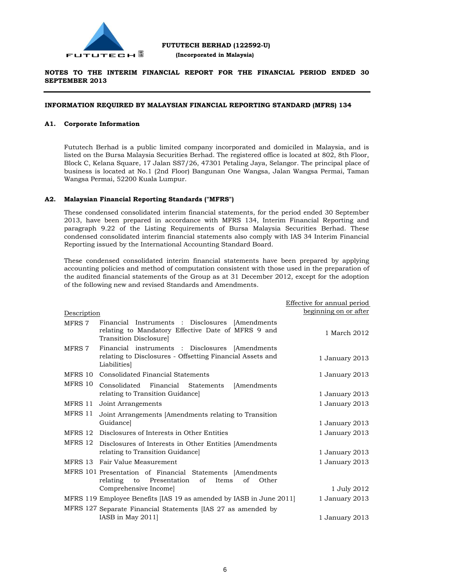

# **INFORMATION REQUIRED BY MALAYSIAN FINANCIAL REPORTING STANDARD (MFRS) 134**

### **A1. Corporate Information**

Fututech Berhad is a public limited company incorporated and domiciled in Malaysia, and is listed on the Bursa Malaysia Securities Berhad. The registered office is located at 802, 8th Floor, Block C, Kelana Square, 17 Jalan SS7/26, 47301 Petaling Jaya, Selangor. The principal place of business is located at No.1 (2nd Floor) Bangunan One Wangsa, Jalan Wangsa Permai, Taman Wangsa Permai, 52200 Kuala Lumpur.

# **A2. Malaysian Financial Reporting Standards ("MFRS")**

These condensed consolidated interim financial statements, for the period ended 30 September 2013, have been prepared in accordance with MFRS 134, Interim Financial Reporting and paragraph 9.22 of the Listing Requirements of Bursa Malaysia Securities Berhad. These condensed consolidated interim financial statements also comply with IAS 34 Interim Financial Reporting issued by the International Accounting Standard Board.

These condensed consolidated interim financial statements have been prepared by applying accounting policies and method of computation consistent with those used in the preparation of the audited financial statements of the Group as at 31 December 2012, except for the adoption of the following new and revised Standards and Amendments.

|             |                                                                                                                                 | Effective for annual period |
|-------------|---------------------------------------------------------------------------------------------------------------------------------|-----------------------------|
| Description |                                                                                                                                 | beginning on or after       |
| MFRS 7      | Financial Instruments : Disclosures [Amendments]<br>relating to Mandatory Effective Date of MFRS 9 and<br>Transition Disclosure | 1 March 2012                |
| MFRS 7      | Financial instruments : Disclosures [Amendments]<br>relating to Disclosures - Offsetting Financial Assets and<br>Liabilities    | 1 January 2013              |
| MFRS 10     | Consolidated Financial Statements                                                                                               | 1 January 2013              |
| MFRS 10     | Consolidated Financial Statements<br>[Amendments]                                                                               |                             |
|             | relating to Transition Guidance                                                                                                 | 1 January 2013              |
| MFRS 11     | Joint Arrangements                                                                                                              | 1 January 2013              |
| MFRS 11     | Joint Arrangements [Amendments relating to Transition                                                                           |                             |
|             | Guidancel                                                                                                                       | 1 January 2013              |
| MFRS 12     | Disclosures of Interests in Other Entities                                                                                      | 1 January 2013              |
| MFRS 12     | Disclosures of Interests in Other Entities [Amendments]                                                                         |                             |
|             | relating to Transition Guidance]                                                                                                | 1 January 2013              |
|             | MFRS 13 Fair Value Measurement                                                                                                  | 1 January 2013              |
|             | MFRS 101 Presentation of Financial Statements [Amendments<br>to Presentation<br>of<br>Items<br>of<br>Other<br>relating          |                             |
|             | Comprehensive Income                                                                                                            | 1 July 2012                 |
|             | MFRS 119 Employee Benefits [IAS 19 as amended by IASB in June 2011]                                                             | 1 January 2013              |
|             | MFRS 127 Separate Financial Statements [IAS 27 as amended by                                                                    |                             |
|             | IASB in May $2011$                                                                                                              | 1 January 2013              |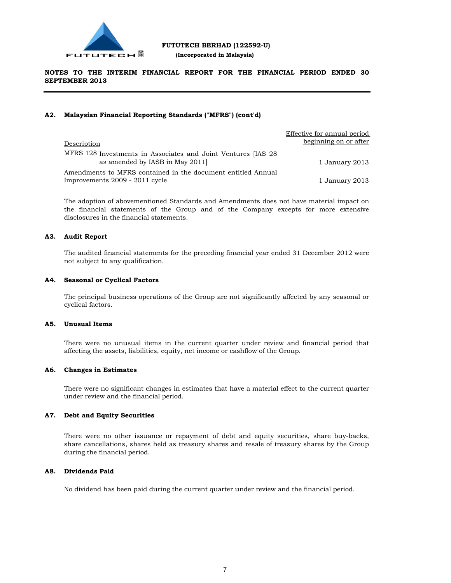

# **FUTUTECH BERHAD (122592-U)**

 **(Incorporated in Malaysia)**

# **NOTES TO THE INTERIM FINANCIAL REPORT FOR THE FINANCIAL PERIOD ENDED 30 SEPTEMBER 2013**

# **A2. Malaysian Financial Reporting Standards ("MFRS") (cont'd)**

|                                                                                                 | Effective for annual period |
|-------------------------------------------------------------------------------------------------|-----------------------------|
| Description                                                                                     | beginning on or after       |
| MFRS 128 Investments in Associates and Joint Ventures [IAS 28<br>as amended by IASB in May 2011 | 1 January 2013              |
| Amendments to MFRS contained in the document entitled Annual                                    |                             |
| Improvements 2009 - 2011 cycle                                                                  | 1 January 2013              |

The adoption of abovementioned Standards and Amendments does not have material impact on the financial statements of the Group and of the Company excepts for more extensive disclosures in the financial statements.

# **A3. Audit Report**

The audited financial statements for the preceding financial year ended 31 December 2012 were not subject to any qualification.

# **A4. Seasonal or Cyclical Factors**

The principal business operations of the Group are not significantly affected by any seasonal or cyclical factors.

# **A5. Unusual Items**

There were no unusual items in the current quarter under review and financial period that affecting the assets, liabilities, equity, net income or cashflow of the Group.

### **A6. Changes in Estimates**

There were no significant changes in estimates that have a material effect to the current quarter under review and the financial period.

# **A7. Debt and Equity Securities**

There were no other issuance or repayment of debt and equity securities, share buy-backs, share cancellations, shares held as treasury shares and resale of treasury shares by the Group during the financial period.

# **A8. Dividends Paid**

No dividend has been paid during the current quarter under review and the financial period.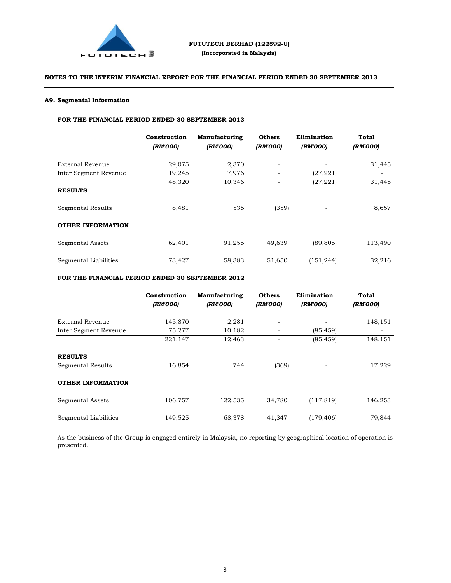

# **A9. Segmental Information**

Proposed UtilisationActual UtilisationUnutilised/  $\blacksquare$ from completion (RM) Repayment of Bank Borrowings21,700,000 21,700,0000-  $W_1$ Payment of Expenses  $\mathcal{L}_{\mathcal{L}}$ 

# **FOR THE FINANCIAL PERIOD ENDED 30 SEPTEMBER 2013**

|                          | Construction<br>(RM'000) | Manufacturing<br>(RM'000) | <b>Others</b><br>(RM'000) | Elimination<br>(RM'000) | <b>Total</b><br>(RM'000) |
|--------------------------|--------------------------|---------------------------|---------------------------|-------------------------|--------------------------|
| External Revenue         | 29,075                   | 2,370                     | $\overline{\phantom{a}}$  |                         | 31,445                   |
| Inter Segment Revenue    | 19,245                   | 7,976                     | $\overline{\phantom{a}}$  | (27, 221)               | -                        |
| <b>RESULTS</b>           | 48,320                   | 10,346                    |                           | (27, 221)               | 31,445                   |
| Segmental Results        | 8,481                    | 535                       | (359)                     |                         | 8,657                    |
| <b>OTHER INFORMATION</b> |                          |                           |                           |                         |                          |
| Segmental Assets         | 62,401                   | 91,255                    | 49,639                    | (89, 805)               | 113,490                  |
| Segmental Liabilities    | 73,427                   | 58,383                    | 51,650                    | (151, 244)              | 32,216                   |

# **FOR THE FINANCIAL PERIOD ENDED 30 SEPTEMBER 2012**

|                          | Construction<br>(RM'000) | <b>Manufacturing</b><br>(RM'000) | <b>Others</b><br>(RM'000) | Elimination<br>(RM'000) | Total<br>(RM'000) |
|--------------------------|--------------------------|----------------------------------|---------------------------|-------------------------|-------------------|
| External Revenue         | 145,870                  | 2,281                            |                           |                         | 148,151           |
| Inter Segment Revenue    | 75,277                   | 10,182                           | $\overline{\phantom{a}}$  | (85, 459)               | $\qquad \qquad -$ |
|                          | 221,147                  | 12,463                           |                           | (85, 459)               | 148,151           |
| <b>RESULTS</b>           |                          |                                  |                           |                         |                   |
| Segmental Results        | 16,854                   | 744                              | (369)                     |                         | 17,229            |
| <b>OTHER INFORMATION</b> |                          |                                  |                           |                         |                   |
| Segmental Assets         | 106,757                  | 122,535                          | 34,780                    | (117, 819)              | 146,253           |
| Segmental Liabilities    | 149,525                  | 68,378                           | 41,347                    | (179, 406)              | 79,844            |

As the business of the Group is engaged entirely in Malaysia, no reporting by geographical location of operation is presented.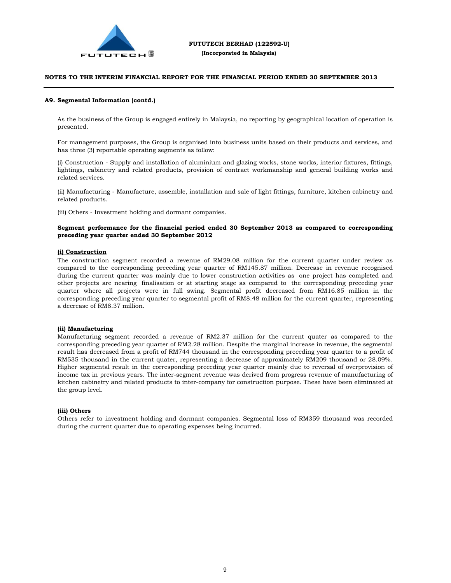

#### **A9. Segmental Information (contd.)**

As the business of the Group is engaged entirely in Malaysia, no reporting by geographical location of operation is presented.

For management purposes, the Group is organised into business units based on their products and services, and has three (3) reportable operating segments as follow:

(i) Construction - Supply and installation of aluminium and glazing works, stone works, interior fixtures, fittings, lightings, cabinetry and related products, provision of contract workmanship and general building works and related services.

(ii) Manufacturing - Manufacture, assemble, installation and sale of light fittings, furniture, kitchen cabinetry and related products.

(iii) Others - Investment holding and dormant companies.

### **Segment performance for the financial period ended 30 September 2013 as compared to corresponding preceding year quarter ended 30 September 2012**

#### **(i) Construction**

The construction segment recorded a revenue of RM29.08 million for the current quarter under review as compared to the corresponding preceding year quarter of RM145.87 million. Decrease in revenue recognised during the current quarter was mainly due to lower construction activities as one project has completed and other projects are nearing finalisation or at starting stage as compared to the corresponding preceding year quarter where all projects were in full swing. Segmental profit decreased from RM16.85 million in the corresponding preceding year quarter to segmental profit of RM8.48 million for the current quarter, representing a decrease of RM8.37 million.

#### **(ii) Manufacturing**

Manufacturing segment recorded a revenue of RM2.37 million for the current quater as compared to the corresponding preceding year quarter of RM2.28 million. Despite the marginal increase in revenue, the segmental result has decreased from a profit of RM744 thousand in the corresponding preceding year quarter to a profit of RM535 thousand in the current quater, representing a decrease of approximately RM209 thousand or 28.09%. Higher segmental result in the corresponding preceding year quarter mainly due to reversal of overprovision of income tax in previous years. The inter-segment revenue was derived from progress revenue of manufacturing of kitchen cabinetry and related products to inter-company for construction purpose. These have been eliminated at the group level.

#### **(iii) Others**

Others refer to investment holding and dormant companies. Segmental loss of RM359 thousand was recorded during the current quarter due to operating expenses being incurred.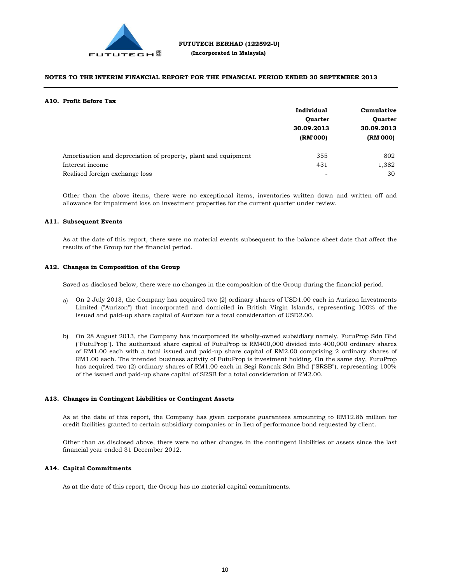

#### **A10. Profit Before Tax**

|                                                                | Individual                               | Cumulative<br><b>Quarter</b> |  |
|----------------------------------------------------------------|------------------------------------------|------------------------------|--|
|                                                                | <b>Quarter</b><br>30.09.2013<br>(RM'000) |                              |  |
|                                                                |                                          | 30.09.2013<br>(RM'000)       |  |
|                                                                |                                          |                              |  |
| Amortisation and depreciation of property, plant and equipment | 355                                      | 802                          |  |
| Interest income                                                | 431                                      | 1,382                        |  |
| Realised foreign exchange loss                                 |                                          | 30                           |  |

Other than the above items, there were no exceptional items, inventories written down and written off and allowance for impairment loss on investment properties for the current quarter under review.

#### **A11. Subsequent Events**

As at the date of this report, there were no material events subsequent to the balance sheet date that affect the results of the Group for the financial period.

#### **A12. Changes in Composition of the Group**

Saved as disclosed below, there were no changes in the composition of the Group during the financial period.

- a) On 2 July 2013, the Company has acquired two (2) ordinary shares of USD1.00 each in Aurizon Investments Limited ("Aurizon") that incorporated and domiciled in British Virgin Islands, representing 100% of the issued and paid-up share capital of Aurizon for a total consideration of USD2.00.
- b) On 28 August 2013, the Company has incorporated its wholly-owned subsidiary namely, FutuProp Sdn Bhd ("FutuProp"). The authorised share capital of FutuProp is RM400,000 divided into 400,000 ordinary shares of RM1.00 each with a total issued and paid-up share capital of RM2.00 comprising 2 ordinary shares of RM1.00 each. The intended business activity of FutuProp is investment holding. On the same day, FutuProp has acquired two (2) ordinary shares of RM1.00 each in Segi Rancak Sdn Bhd ("SRSB"), representing 100% of the issued and paid-up share capital of SRSB for a total consideration of RM2.00.

#### **A13. Changes in Contingent Liabilities or Contingent Assets**

As at the date of this report, the Company has given corporate guarantees amounting to RM12.86 million for credit facilities granted to certain subsidiary companies or in lieu of performance bond requested by client.

Other than as disclosed above, there were no other changes in the contingent liabilities or assets since the last financial year ended 31 December 2012.

#### **A14. Capital Commitments**

As at the date of this report, the Group has no material capital commitments.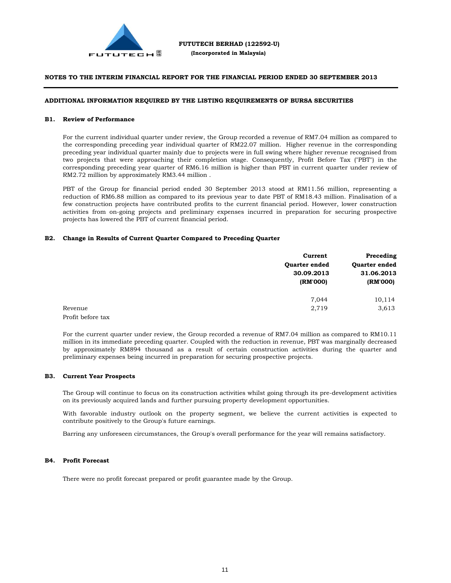

# **ADDITIONAL INFORMATION REQUIRED BY THE LISTING REQUIREMENTS OF BURSA SECURITIES**

#### **B1. Review of Performance**

For the current individual quarter under review, the Group recorded a revenue of RM7.04 million as compared to the corresponding preceding year individual quarter of RM22.07 million. Higher revenue in the corresponding preceding year individual quarter mainly due to projects were in full swing where higher revenue recognised from two projects that were approaching their completion stage. Consequently, Profit Before Tax ("PBT") in the corresponding preceding year quarter of RM6.16 million is higher than PBT in current quarter under review of RM2.72 million by approximately RM3.44 million .

PBT of the Group for financial period ended 30 September 2013 stood at RM11.56 million, representing a reduction of RM6.88 million as compared to its previous year to date PBT of RM18.43 million. Finalisation of a few construction projects have contributed profits to the current financial period. However, lower construction activities from on-going projects and preliminary expenses incurred in preparation for securing prospective projects has lowered the PBT of current financial period.

#### **B2. Change in Results of Current Quarter Compared to Preceding Quarter**

|                   | Current              | Preceding                          |  |
|-------------------|----------------------|------------------------------------|--|
|                   | <b>Ouarter ended</b> | <b>Ouarter ended</b><br>31.06.2013 |  |
|                   | 30.09.2013           |                                    |  |
|                   | (RM'000)             | (RM'000)                           |  |
|                   | 7.044                | 10,114                             |  |
| Revenue           | 2,719                | 3,613                              |  |
| Profit before tax |                      |                                    |  |

For the current quarter under review, the Group recorded a revenue of RM7.04 million as compared to RM10.11 million in its immediate preceding quarter. Coupled with the reduction in revenue, PBT was marginally decreased by approximately RM894 thousand as a result of certain construction activities during the quarter and preliminary expenses being incurred in preparation for securing prospective projects.

#### **B3. Current Year Prospects**

The Group will continue to focus on its construction activities whilst going through its pre-development activities on its previously acquired lands and further pursuing property development opportunities.

With favorable industry outlook on the property segment, we believe the current activities is expected to contribute positively to the Group's future earnings.

Barring any unforeseen circumstances, the Group's overall performance for the year will remains satisfactory.

#### **B4. Profit Forecast**

There were no profit forecast prepared or profit guarantee made by the Group.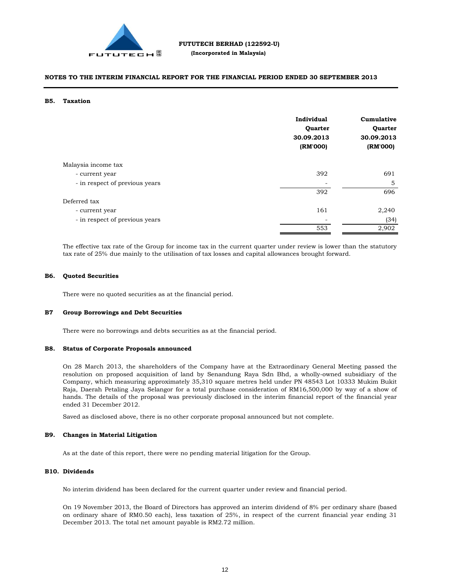

#### **B5. Taxation**

|                                | Individual<br>Quarter<br>30.09.2013<br>(RM'000) | Cumulative<br>Quarter<br>30.09.2013<br>(RM'000) |
|--------------------------------|-------------------------------------------------|-------------------------------------------------|
| Malaysia income tax            |                                                 |                                                 |
| - current year                 | 392                                             | 691                                             |
| - in respect of previous years |                                                 | 5                                               |
|                                | 392                                             | 696                                             |
| Deferred tax                   |                                                 |                                                 |
| - current year                 | 161                                             | 2,240                                           |
| - in respect of previous years |                                                 | (34)                                            |
|                                | 553                                             | 2,902                                           |

The effective tax rate of the Group for income tax in the current quarter under review is lower than the statutory tax rate of 25% due mainly to the utilisation of tax losses and capital allowances brought forward.

#### **B6. Quoted Securities**

There were no quoted securities as at the financial period.

#### **B7 Group Borrowings and Debt Securities**

There were no borrowings and debts securities as at the financial period.

#### **B8. Status of Corporate Proposals announced**

On 28 March 2013, the shareholders of the Company have at the Extraordinary General Meeting passed the resolution on proposed acquisition of land by Senandung Raya Sdn Bhd, a wholly-owned subsidiary of the Company, which measuring approximately 35,310 square metres held under PN 48543 Lot 10333 Mukim Bukit Raja, Daerah Petaling Jaya Selangor for a total purchase consideration of RM16,500,000 by way of a show of hands. The details of the proposal was previously disclosed in the interim financial report of the financial year ended 31 December 2012.

Saved as disclosed above, there is no other corporate proposal announced but not complete.

#### **B9. Changes in Material Litigation**

As at the date of this report, there were no pending material litigation for the Group.

#### **B10. Dividends**

No interim dividend has been declared for the current quarter under review and financial period.

On 19 November 2013, the Board of Directors has approved an interim dividend of 8% per ordinary share (based on ordinary share of RM0.50 each), less taxation of 25%, in respect of the current financial year ending 31 December 2013. The total net amount payable is RM2.72 million.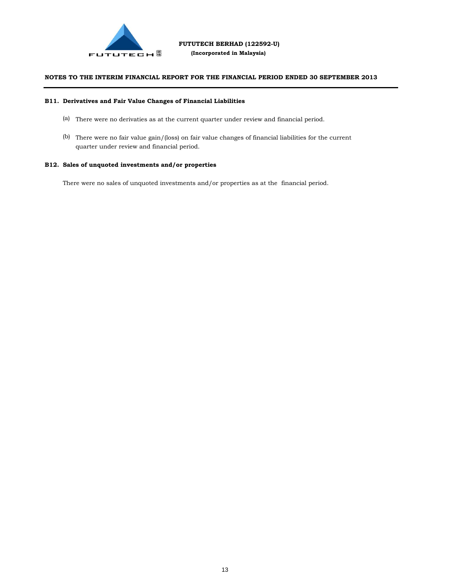

#### **B11. Derivatives and Fair Value Changes of Financial Liabilities**

- (a) There were no derivaties as at the current quarter under review and financial period.
- (b) There were no fair value gain/(loss) on fair value changes of financial liabilities for the current quarter under review and financial period.

# **B12. Sales of unquoted investments and/or properties**

There were no sales of unquoted investments and/or properties as at the financial period.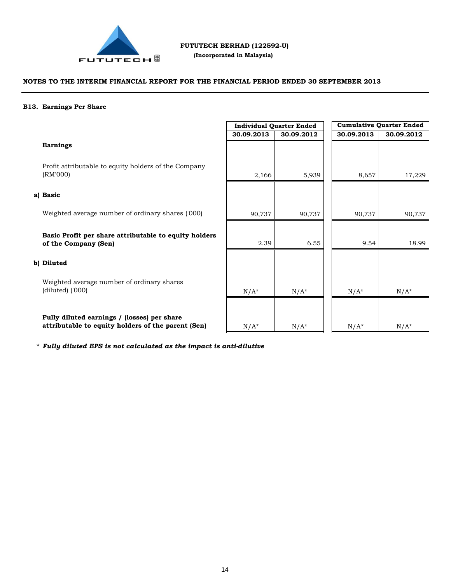

 **(Incorporated in Malaysia)**

# **NOTES TO THE INTERIM FINANCIAL REPORT FOR THE FINANCIAL PERIOD ENDED 30 SEPTEMBER 2013**

#### **B13. Earnings Per Share**

# **Earnings**

Profit attributable to equity holders of the Company (RM'000)

# **a) Basic**

Weighted average number of ordinary shares ('000)

**Basic Profit per share attributable to equity holders of the Company (Sen)**

# **b) Diluted**

Weighted average number of ordinary shares (diluted) ('000)

**Fully diluted earnings / (losses) per share attributable to equity holders of the parent (Sen)**

| <b>Individual Quarter Ended</b> |            |  | <b>Cumulative Quarter Ended</b> |            |
|---------------------------------|------------|--|---------------------------------|------------|
| 30.09.2013                      | 30.09.2012 |  | 30.09.2013                      | 30.09.2012 |
|                                 |            |  |                                 |            |
|                                 |            |  |                                 |            |
| 2,166                           | 5,939      |  | 8,657                           | 17,229     |
|                                 |            |  |                                 |            |
|                                 |            |  |                                 |            |
| 90,737                          | 90,737     |  | 90,737                          | 90,737     |
|                                 |            |  |                                 |            |
| 2.39                            | 6.55       |  | 9.54                            | 18.99      |
|                                 |            |  |                                 |            |
|                                 |            |  |                                 |            |
|                                 |            |  |                                 |            |
| $N/A^*$                         | $N/A^*$    |  | $N/A^*$                         | $N/A^*$    |
|                                 |            |  |                                 |            |
| $N/A^*$                         | $N/A^*$    |  | $N/A^*$                         | $N/A^*$    |

**\*** *Fully diluted EPS is not calculated as the impact is anti-dilutive*